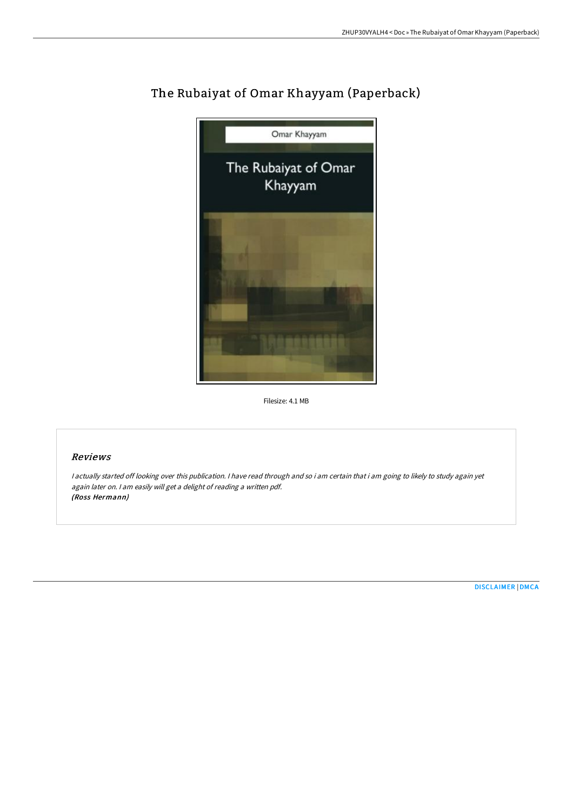

# The Rubaiyat of Omar Khayyam (Paperback)

Filesize: 4.1 MB

# Reviews

<sup>I</sup> actually started off looking over this publication. <sup>I</sup> have read through and so i am certain that i am going to likely to study again yet again later on. <sup>I</sup> am easily will get <sup>a</sup> delight of reading <sup>a</sup> written pdf. (Ross Hermann)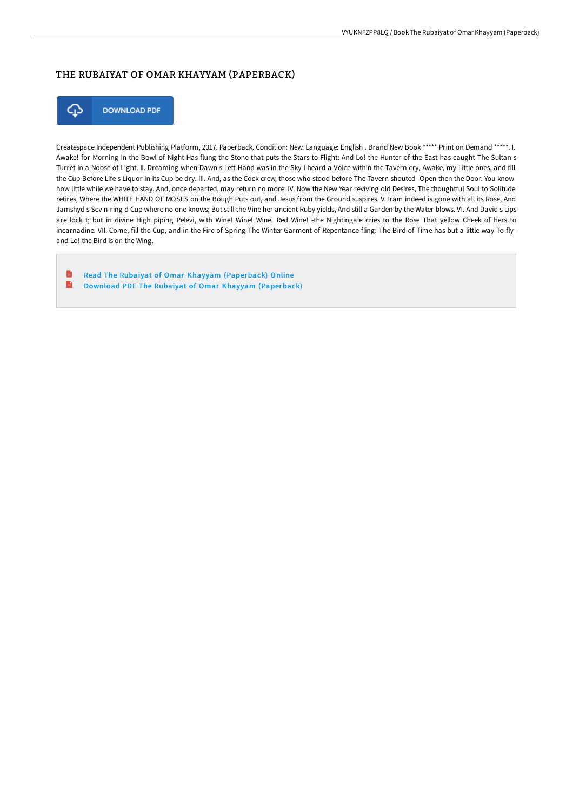## THE RUBAIYAT OF OMAR KHAYYAM (PAPERBACK)



**DOWNLOAD PDF** 

Createspace Independent Publishing Platform, 2017. Paperback. Condition: New. Language: English . Brand New Book \*\*\*\*\* Print on Demand \*\*\*\*\*. I. Awake! for Morning in the Bowl of Night Has flung the Stone that puts the Stars to Flight: And Lo! the Hunter of the East has caught The Sultan s Turret in a Noose of Light. II. Dreaming when Dawn s Left Hand was in the Sky I heard a Voice within the Tavern cry, Awake, my Little ones, and fill the Cup Before Life s Liquor in its Cup be dry. III. And, as the Cock crew, those who stood before The Tavern shouted- Open then the Door. You know how little while we have to stay, And, once departed, may return no more. IV. Now the New Year reviving old Desires, The thoughtful Soul to Solitude retires, Where the WHITE HAND OF MOSES on the Bough Puts out, and Jesus from the Ground suspires. V. Iram indeed is gone with all its Rose, And Jamshyd s Sev n-ring d Cup where no one knows; But still the Vine her ancient Ruby yields, And still a Garden by the Water blows. VI. And David s Lips are lock t; but in divine High piping Pelevi, with Wine! Wine! Wine! Red Wine! -the Nightingale cries to the Rose That yellow Cheek of hers to incarnadine. VII. Come, fill the Cup, and in the Fire of Spring The Winter Garment of Repentance fling: The Bird of Time has but a little way To flyand Lo! the Bird is on the Wing.

Ð Read The Rubaiyat of Omar Khayyam [\(Paperback\)](http://techno-pub.tech/the-rubaiyat-of-omar-khayyam-paperback.html) Online  $\frac{1}{100}$ Download PDF The Rubaiyat of Omar Khayyam [\(Paperback\)](http://techno-pub.tech/the-rubaiyat-of-omar-khayyam-paperback.html)